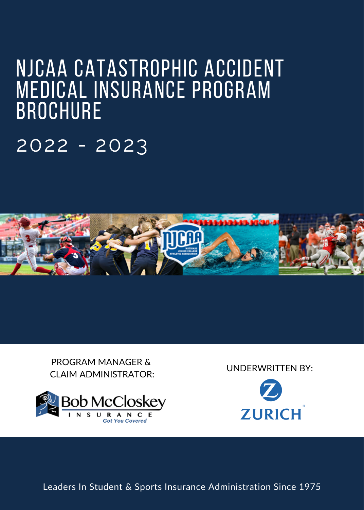# NJCAA CATASTROPHIC ACCIDENT MEDICAL INSURANCE PROGRAM BROCHURE

2022 - 2023



PROGRAM MANAGER & **CLAIM ADMINISTRATOR:** UNDERWRITTEN BY:





Leaders In Student & Sports Insurance Administration Since 1975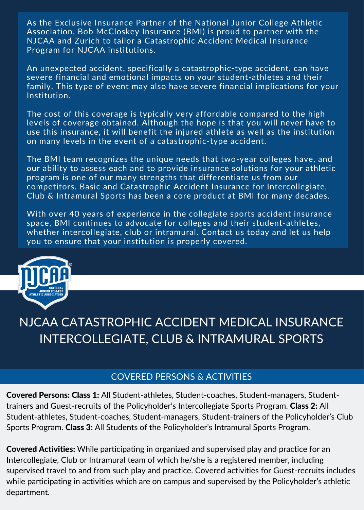As the Exclusive Insurance Partner of the National Junior College Athletic Association, Bob McCloskey Insurance (BMI) is proud to partner with the NJCAA and Zurich to tailor a Catastrophic Accident Medical Insurance Program for NJCAA institutions.

An unexpected accident, specifically a catastrophic-type accident, can have severe financial and emotional impacts on your student-athletes and their family. This type of event may also have severe financial implications for your Institution.

The cost of this coverage is typically very affordable compared to the high levels of coverage obtained. Although the hope is that you will never have to use this insurance, it will benefit the injured athlete as well as the institution on many levels in the event of a catastrophic-type accident.

The BMI team recognizes the unique needs that two-year colleges have, and our ability to assess each and to provide insurance solutions for your athletic program is one of our many strengths that differentiate us from our competitors. Basic and Catastrophic Accident Insurance for Intercollegiate, Club & Intramural Sports has been a core product at BMI for many decades.

With over 40 years of experience in the collegiate sports accident insurance space, BMI continues to advocate for colleges and their student-athletes, whether intercollegiate, club or intramural. Contact us today and let us help you to ensure that your institution is properly covered.



## NJCAA CATASTROPHIC ACCIDENT MEDICAL INSURANCE INTERCOLLEGIATE, CLUB & INTRAMURAL SPORTS

## COVERED PERSONS & ACTIVITIES

Covered Persons: Class 1: All Student-athletes, Student-coaches, Student-managers, Studenttrainers and Guest-recruits of the Policyholder's Intercollegiate Sports Program. Class 2: All Student-athletes, Student-coaches, Student-managers, Student-trainers of the Policyholder's Club Sports Program. Class 3: All Students of the Policyholder's Intramural Sports Program.

Covered Activities: While participating in organized and supervised play and practice for an Intercollegiate, Club or Intramural team of which he/she is a registered member, including supervised travel to and from such play and practice. Covered activities for Guest-recruits includes while participating in activities which are on campus and supervised by the Policyholder's athletic department.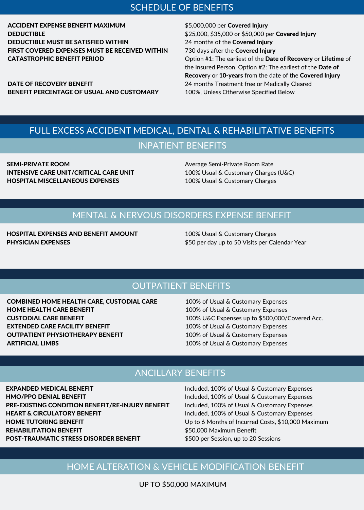## SCHEDULE OF BENEFITS

ACCIDENT EXPENSE BENEFIT MAXIMUM DEDUCTIBLE DEDUCTIBLE MUST BE SATISFIED WITHIN FIRST COVERED EXPENSES MUST BE RECEIVED WITHIN CATASTROPHIC BENEFIT PERIOD

DATE OF RECOVERY BENEFIT BENEFIT PERCENTAGE OF USUAL AND CUSTOMARY \$5,000,000 per Covered Injury \$25,000, \$35,000 or \$50,000 per Covered Injury 24 months of the Covered Injury 730 days after the Covered Injury Option #1: The earliest of the Date of Recovery or Lifetime of the Insured Person. Option #2: The earliest of the Date of Recovery or 10-years from the date of the Covered Injury 24 months Treatment free or Medically Cleared 100%, Unless Otherwise Specified Below

## FULL EXCESS ACCIDENT MEDICAL, DENTAL & REHABILITATIVE BENEFITS

#### INPATIENT BENEFITS

SEMI-PRIVATE ROOM INTENSIVE CARE UNIT/CRITICAL CARE UNIT HOSPITAL MISCELLANEOUS EXPENSES

Average Semi-Private Room Rate 100% Usual & Customary Charges (U&C) 100% Usual & Customary Charges

## MENTAL & NERVOUS DISORDERS EXPENSE BENEFIT

#### HOSPITAL EXPENSES AND BENEFIT AMOUNT PHYSICIAN EXPENSES

100% Usual & Customary Charges \$50 per day up to 50 Visits per Calendar Year

## **OUTPATIENT BENEFITS**

COMBINED HOME HEALTH CARE, CUSTODIAL CARE HOME HEALTH CARE BENEFIT CUSTODIAL CARE BENEFIT EXTENDED CARE FACILITY BENEFIT OUTPATIENT PHYSIOTHERAPY BENEFIT ARTIFICIAL LIMBS

100% of Usual & Customary Expenses 100% of Usual & Customary Expenses 100% U&C Expenses up to \$500,000/Covered Acc. 100% of Usual & Customary Expenses 100% of Usual & Customary Expenses 100% of Usual & Customary Expenses

## ANCILLARY BENEFITS

EXPANDED MEDICAL BENEFIT HMO/PPO DENIAL BENEFIT PRE-EXISTING CONDITION BENEFIT/RE-INJURY BENEFIT HEART & CIRCULATORY BENEFIT HOME TUTORING BENEFIT REHABILITATION BENEFIT POST-TRAUMATIC STRESS DISORDER BENEFIT

Included, 100% of Usual & Customary Expenses Included, 100% of Usual & Customary Expenses Included, 100% of Usual & Customary Expenses Included, 100% of Usual & Customary Expenses Up to 6 Months of Incurred Costs, \$10,000 Maximum \$50,000 Maximum Benefit \$500 per Session, up to 20 Sessions

## HOME ALTERATION & VEHICLE MODIFICATION BENEFIT

UP TO \$50,000 MAXIMUM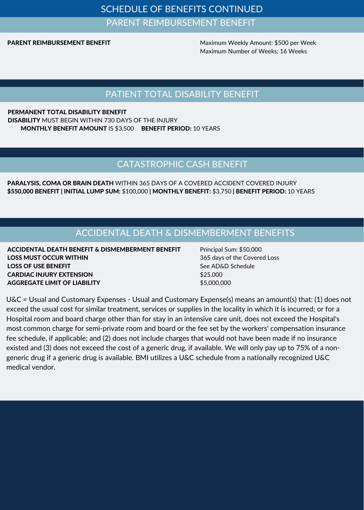## SCHEDULE OF BENEFITS CONTINUED PARENT REIMBURSEMENT BENEFIT

#### PARENT REIMBURSEMENT BENEFIT

Maximum Weekly Amount: \$500 per Week Maximum Number of Weeks: 16 Weeks

## PATIENT TOTAL DISABILITY BENEFIT

PERMANENT TOTAL DISABILITY BENEFIT DISABILITY MUST BEGIN WITHIN 730 DAYS OF THE INJURY MONTHLY BENEFIT AMOUNT IS \$3,500 BENEFIT PERIOD: 10 YEARS

## CATASTROPHIC CASH BENEFIT

PARALYSIS, COMA OR BRAIN DEATH WITHIN 365 DAYS OF A COVERED ACCIDENT COVERED INJURY \$550,000 BENEFIT | INITIAL LUMP SUM: \$100,000 | MONTHLY BENEFIT: \$3,750 | BENEFIT PERIOD: 10 YEARS

## ACCIDENTAL DEATH & DISMEMBERMENT BENEFITS

ACCIDENTAL DEATH BENEFIT & DISMEMBERMENT BENEFIT LOSS MUST OCCUR WITHIN LOSS OF USE BENEFIT CARDIAC INJURY EXTENSION AGGREGATE LIMIT OF LIABILITY

Principal Sum: \$50,000 365 days of the Covered Loss See AD&D Schedule \$25,000 \$5,000,000

U&C = Usual and Customary Expenses - Usual and Customary Expense(s) means an amount(s) that: (1) does not exceed the usual cost for similar treatment, services or supplies in the locality in which it is incurred; or for a Hospital room and board charge other than for stay in an intensive care unit, does not exceed the Hospital's most common charge for semi-private room and board or the fee set by the workers' compensation insurance fee schedule, if applicable; and (2) does not include charges that would not have been made if no insurance existed and (3) does not exceed the cost of a generic drug, if available. We will only pay up to 75% of a nongeneric drug if a generic drug is available. BMI utilizes a U&C schedule from a nationally recognized U&C medical vendor.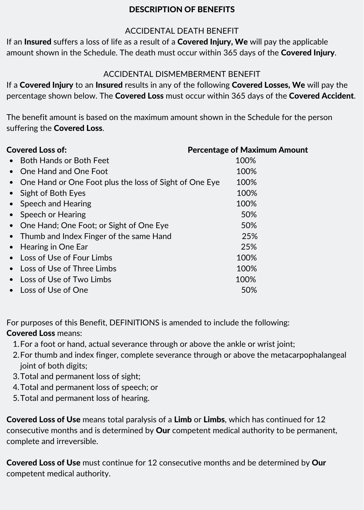## DESCRIPTION OF BENEFITS

### ACCIDENTAL DEATH BENEFIT

If an Insured suffers a loss of life as a result of a Covered Injury, We will pay the applicable amount shown in the Schedule. The death must occur within 365 days of the Covered Injury.

### ACCIDENTAL DISMEMBERMENT BENEFIT

If a Covered Injury to an Insured results in any of the following Covered Losses, We will pay the percentage shown below. The Covered Loss must occur within 365 days of the Covered Accident.

The benefit amount is based on the maximum amount shown in the Schedule for the person suffering the **Covered Loss**.

| Covered Loss of:                                         | <b>Percentage of Maximum Amount</b> |
|----------------------------------------------------------|-------------------------------------|
| <b>Both Hands or Both Feet</b>                           | 100%                                |
| One Hand and One Foot<br>$\bullet$                       | 100%                                |
| • One Hand or One Foot plus the loss of Sight of One Eye | 100%                                |
| Sight of Both Eyes                                       | 100%                                |
| Speech and Hearing<br>$\bullet$                          | 100%                                |
| Speech or Hearing<br>$\bullet$                           | 50%                                 |
| One Hand; One Foot; or Sight of One Eye                  | 50%                                 |
| • Thumb and Index Finger of the same Hand                | 25%                                 |
| Hearing in One Ear<br>$\bullet$                          | 25%                                 |
| Loss of Use of Four Limbs                                | 100%                                |
| Loss of Use of Three Limbs                               | 100%                                |
| Loss of Use of Two Limbs                                 | 100%                                |
| Loss of Use of One                                       | 50%                                 |

For purposes of this Benefit, DEFINITIONS is amended to include the following: Covered Loss means:

- 1. For a foot or hand, actual severance through or above the ankle or wrist joint;
- 2. For thumb and index finger, complete severance through or above the metacarpophalangeal joint of both digits;
- 3. Total and permanent loss of sight;
- Total and permanent loss of speech; or 4.
- 5. Total and permanent loss of hearing.

Covered Loss of Use means total paralysis of a Limb or Limbs, which has continued for 12 consecutive months and is determined by **Our** competent medical authority to be permanent, complete and irreversible.

Covered Loss of Use must continue for 12 consecutive months and be determined by Our competent medical authority.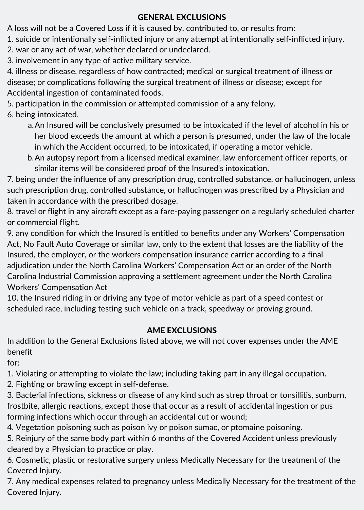### GENERAL EXCLUSIONS

A loss will not be a Covered Loss if it is caused by, contributed to, or results from:

1. suicide or intentionally self-inflicted injury or any attempt at intentionally self-inflicted injury.

2. war or any act of war, whether declared or undeclared.

3. involvement in any type of active military service.

4. illness or disease, regardless of how contracted; medical or surgical treatment of illness or disease; or complications following the surgical treatment of illness or disease; except for Accidental ingestion of contaminated foods.

5. participation in the commission or attempted commission of a any felony.

6. being intoxicated.

- An Insured will be conclusively presumed to be intoxicated if the level of alcohol in his or a. her blood exceeds the amount at which a person is presumed, under the law of the locale in which the Accident occurred, to be intoxicated, if operating a motor vehicle.
- An autopsy report from a licensed medical examiner, law enforcement officer reports, or b. similar items will be considered proof of the Insured's intoxication.

7. being under the influence of any prescription drug, controlled substance, or hallucinogen, unless such prescription drug, controlled substance, or hallucinogen was prescribed by a Physician and taken in accordance with the prescribed dosage.

8. travel or flight in any aircraft except as a fare-paying passenger on a regularly scheduled charter or commercial flight.

9. any condition for which the Insured is entitled to benefits under any Workers' Compensation Act, No Fault Auto Coverage or similar law, only to the extent that losses are the liability of the Insured, the employer, or the workers compensation insurance carrier according to a final adjudication under the North Carolina Workers' Compensation Act or an order of the North Carolina Industrial Commission approving a settlement agreement under the North Carolina Workers' Compensation Act

10. the Insured riding in or driving any type of motor vehicle as part of a speed contest or scheduled race, including testing such vehicle on a track, speedway or proving ground.

## AME EXCLUSIONS

In addition to the General Exclusions listed above, we will not cover expenses under the AME benefit

for:

1. Violating or attempting to violate the law; including taking part in any illegal occupation.

2. Fighting or brawling except in self-defense.

3. Bacterial infections, sickness or disease of any kind such as strep throat or tonsillitis, sunburn, frostbite, allergic reactions, except those that occur as a result of accidental ingestion or pus forming infections which occur through an accidental cut or wound;

4. Vegetation poisoning such as poison ivy or poison sumac, or ptomaine poisoning.

5. Reinjury of the same body part within 6 months of the Covered Accident unless previously cleared by a Physician to practice or play.

6. Cosmetic, plastic or restorative surgery unless Medically Necessary for the treatment of the Covered Injury.

7. Any medical expenses related to pregnancy unless Medically Necessary for the treatment of the Covered Injury.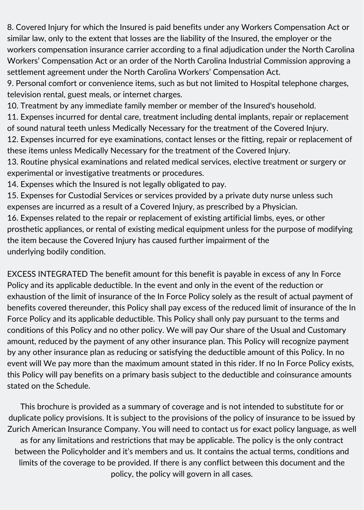8. Covered Injury for which the Insured is paid benefits under any Workers Compensation Act or similar law, only to the extent that losses are the liability of the Insured, the employer or the workers compensation insurance carrier according to a final adjudication under the North Carolina Workers' Compensation Act or an order of the North Carolina Industrial Commission approving a settlement agreement under the North Carolina Workers' Compensation Act.

9. Personal comfort or convenience items, such as but not limited to Hospital telephone charges, television rental, guest meals, or internet charges.

10. Treatment by any immediate family member or member of the Insured's household.

11. Expenses incurred for dental care, treatment including dental implants, repair or replacement of sound natural teeth unless Medically Necessary for the treatment of the Covered Injury.

12. Expenses incurred for eye examinations, contact lenses or the fitting, repair or replacement of these items unless Medically Necessary for the treatment of the Covered Injury.

13. Routine physical examinations and related medical services, elective treatment or surgery or experimental or investigative treatments or procedures.

14. Expenses which the Insured is not legally obligated to pay.

15. Expenses for Custodial Services or services provided by a private duty nurse unless such expenses are incurred as a result of a Covered Injury, as prescribed by a Physician.

16. Expenses related to the repair or replacement of existing artificial limbs, eyes, or other prosthetic appliances, or rental of existing medical equipment unless for the purpose of modifying the item because the Covered Injury has caused further impairment of the underlying bodily condition.

EXCESS INTEGRATED The benefit amount for this benefit is payable in excess of any In Force Policy and its applicable deductible. In the event and only in the event of the reduction or exhaustion of the limit of insurance of the In Force Policy solely as the result of actual payment of benefits covered thereunder, this Policy shall pay excess of the reduced limit of insurance of the In Force Policy and its applicable deductible. This Policy shall only pay pursuant to the terms and conditions of this Policy and no other policy. We will pay Our share of the Usual and Customary amount, reduced by the payment of any other insurance plan. This Policy will recognize payment by any other insurance plan as reducing or satisfying the deductible amount of this Policy. In no event will We pay more than the maximum amount stated in this rider. If no In Force Policy exists, this Policy will pay benefits on a primary basis subject to the deductible and coinsurance amounts stated on the Schedule.

This brochure is provided as a summary of coverage and is not intended to substitute for or duplicate policy provisions. It is subject to the provisions of the policy of insurance to be issued by Zurich American Insurance Company. You will need to contact us for exact policy language, as well as for any limitations and restrictions that may be applicable. The policy is the only contract between the Policyholder and it's members and us. It contains the actual terms, conditions and limits of the coverage to be provided. If there is any conflict between this document and the policy, the policy will govern in all cases.